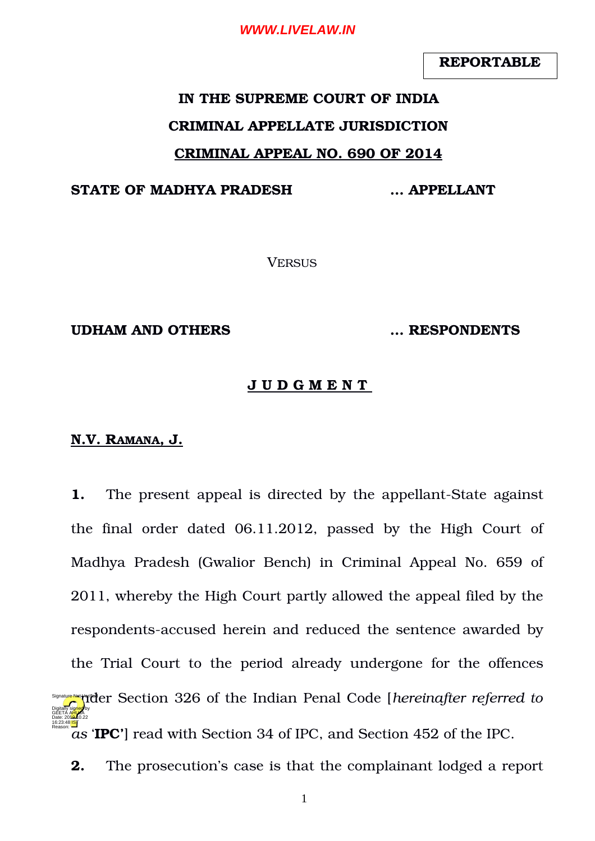**REPORTABLE**

# **IN THE SUPREME COURT OF INDIA CRIMINAL APPELLATE JURISDICTION CRIMINAL APPEAL NO. 690 OF 2014**

#### **STATE OF MADHYA PRADESH … APPELLANT**

**VERSUS** 

#### **UDHAM AND OTHERS … RESPONDENTS**

#### **J U D G M E N T**

## **N.V. RAMANA, J.**

**1.** The present appeal is directed by the appellant-State against the final order dated  $06.11.2012$ , passed by the High Court of Madhya Pradesh (Gwalior Bench) in Criminal Appeal No. 659 of 2011, whereby the High Court partly allowed the appeal filed by the respondents-accused herein and reduced the sentence awarded by the Trial Court to the period already undergone for the offences **Signally Printed Franch Code** *[hereinafter referred to*  $\alpha$ <sup>5</sup> *as* '**IPC'**] read with Section 34 of IPC, and Section 452 of the IPC. Digitally signed by GEETA A<mark>HU</mark>JA Date: 2010.10.22 16:23:48<sup>1S</sup> Reason:

**2.** The prosecution's case is that the complainant lodged a report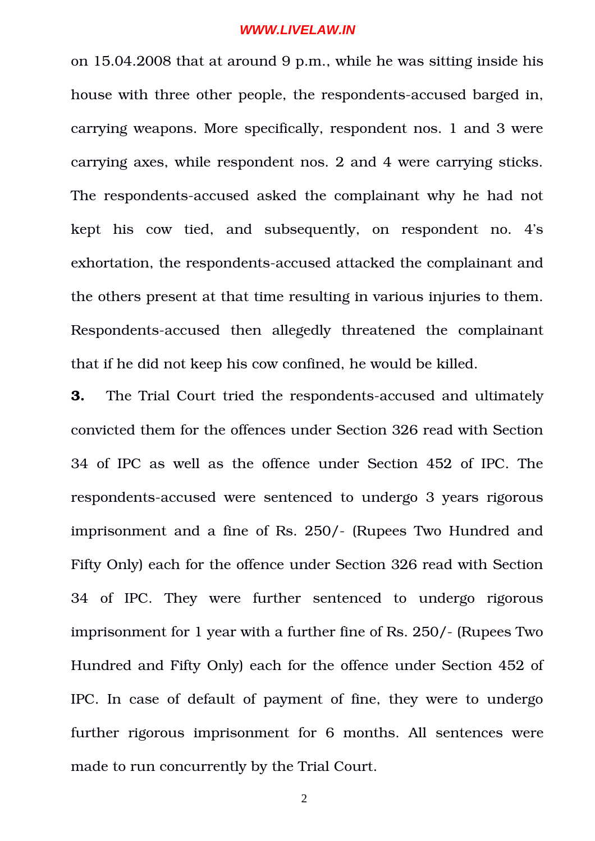on 15.04.2008 that at around 9 p.m., while he was sitting inside his house with three other people, the respondents-accused barged in, carrying weapons. More specifically, respondent nos. 1 and 3 were carrying axes, while respondent nos. 2 and 4 were carrying sticks. The respondents-accused asked the complainant why he had not kept his cow tied, and subsequently, on respondent no. 4's exhortation, the respondents-accused attacked the complainant and the others present at that time resulting in various injuries to them. Respondents-accused then allegedly threatened the complainant that if he did not keep his cow confined, he would be killed.

**3.** The Trial Court tried the respondents-accused and ultimately convicted them for the offences under Section 326 read with Section 34 of IPC as well as the offence under Section 452 of IPC. The respondents-accused were sentenced to undergo 3 years rigorous imprisonment and a fine of Rs. 250/- (Rupees Two Hundred and Fifty Only) each for the offence under Section 326 read with Section 34 of IPC. They were further sentenced to undergo rigorous imprisonment for 1 year with a further fine of Rs. 250/- (Rupees Two Hundred and Fifty Only) each for the offence under Section 452 of IPC. In case of default of payment of fine, they were to undergo further rigorous imprisonment for 6 months. All sentences were made to run concurrently by the Trial Court.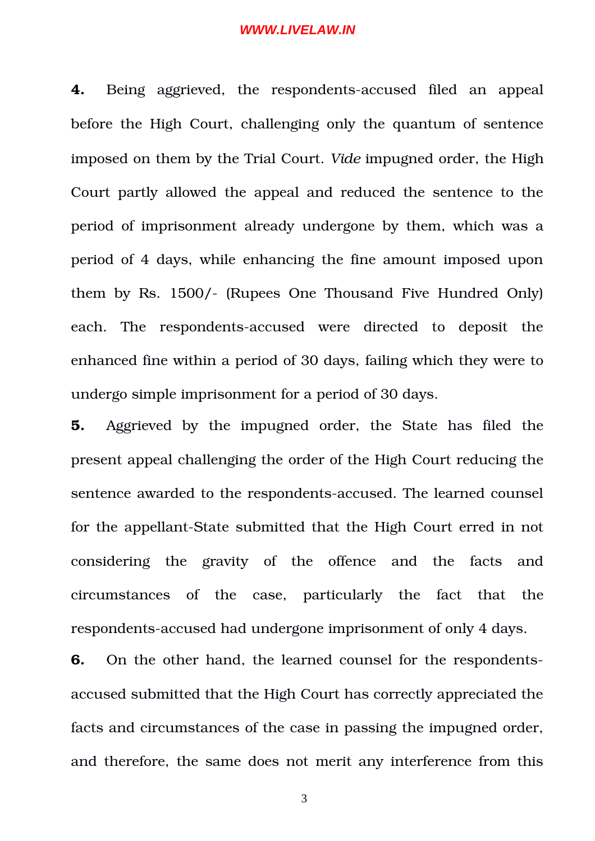**4.** Being aggrieved, the respondents-accused filed an appeal before the High Court, challenging only the quantum of sentence imposed on them by the Trial Court. *Vide* impugned order, the High Court partly allowed the appeal and reduced the sentence to the period of imprisonment already undergone by them, which was a period of 4 days, while enhancing the fine amount imposed upon them by Rs. 1500/- (Rupees One Thousand Five Hundred Only) each. The respondents-accused were directed to deposit the enhanced fine within a period of 30 days, failing which they were to undergo simple imprisonment for a period of 30 days.

**5.** Aggrieved by the impugned order, the State has filed the present appeal challenging the order of the High Court reducing the sentence awarded to the respondents-accused. The learned counsel for the appellant-State submitted that the High Court erred in not considering the gravity of the offence and the facts and circumstances of the case, particularly the fact that the respondents-accused had undergone imprisonment of only 4 days.

**6.** On the other hand, the learned counsel for the respondentsaccused submitted that the High Court has correctly appreciated the facts and circumstances of the case in passing the impugned order, and therefore, the same does not merit any interference from this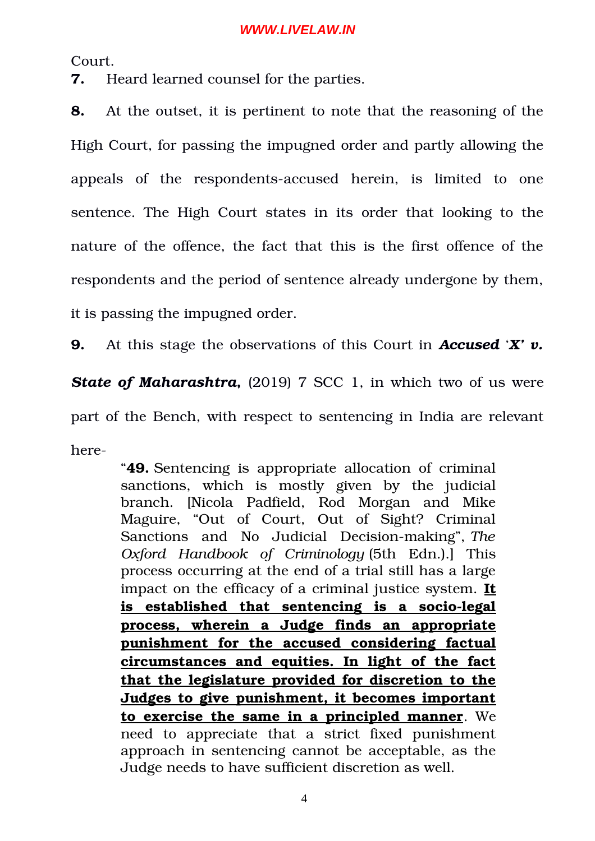Court.

**7.** Heard learned counsel for the parties.

**8.** At the outset, it is pertinent to note that the reasoning of the High Court, for passing the impugned order and partly allowing the appeals of the respondents-accused herein, is limited to one sentence. The High Court states in its order that looking to the nature of the offence, the fact that this is the first offence of the respondents and the period of sentence already undergone by them, it is passing the impugned order.

**9.** At this stage the observations of this Court in *Accused* '*X' v.*

**State of Maharashtra,** (2019) 7 SCC 1, in which two of us were

part of the Bench, with respect to sentencing in India are relevant here

> "**49.** Sentencing is appropriate allocation of criminal sanctions, which is mostly given by the judicial branch. [Nicola Padfield, Rod Morgan and Mike Maguire, "Out of Court, Out of Sight? Criminal Sanctions and No Judicial Decision-making", The *Oxford Handbook of Criminology* (5th Edn.).] This process occurring at the end of a trial still has a large impact on the efficacy of a criminal justice system. **It** is established that sentencing is a socio-legal **process, wherein a Judge finds an appropriate punishment for the accused considering factual circumstances and equities. In light of the fact that the legislature provided for discretion to the Judges to give punishment, it becomes important to exercise the same in a principled manner**. We need to appreciate that a strict fixed punishment approach in sentencing cannot be acceptable, as the Judge needs to have sufficient discretion as well.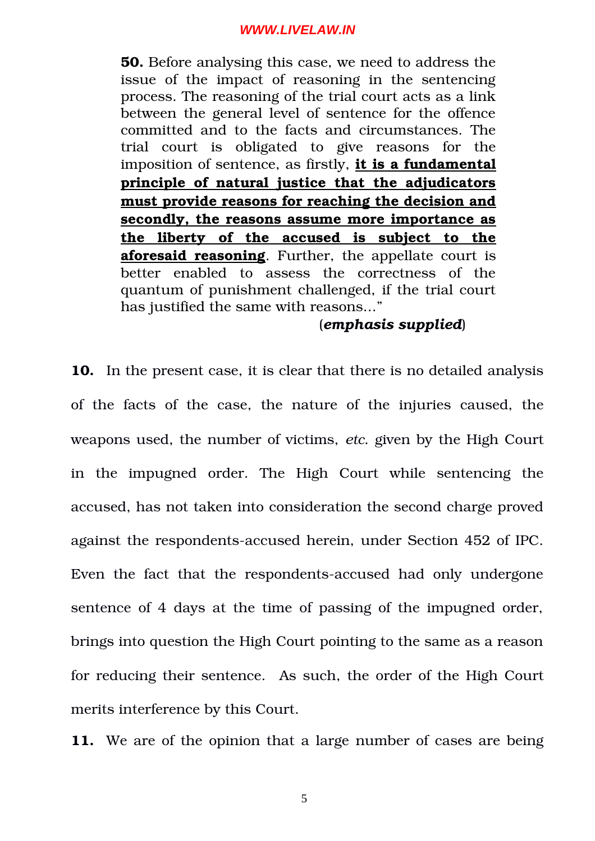**50.** Before analysing this case, we need to address the issue of the impact of reasoning in the sentencing process. The reasoning of the trial court acts as a link between the general level of sentence for the offence committed and to the facts and circumstances. The trial court is obligated to give reasons for the imposition of sentence, as firstly, **it is a fundamental principle of natural justice that the adjudicators must provide reasons for reaching the decision and secondly, the reasons assume more importance as the liberty of the accused is subject to the aforesaid reasoning**. Further, the appellate court is better enabled to assess the correctness of the quantum of punishment challenged, if the trial court has justified the same with reasons..."

## (*emphasis supplied*)

**10.** In the present case, it is clear that there is no detailed analysis of the facts of the case, the nature of the injuries caused, the weapons used, the number of victims, *etc*. given by the High Court in the impugned order. The High Court while sentencing the accused, has not taken into consideration the second charge proved against the respondents-accused herein, under Section 452 of IPC. Even the fact that the respondents-accused had only undergone sentence of 4 days at the time of passing of the impugned order, brings into question the High Court pointing to the same as a reason for reducing their sentence. As such, the order of the High Court merits interference by this Court.

**11.** We are of the opinion that a large number of cases are being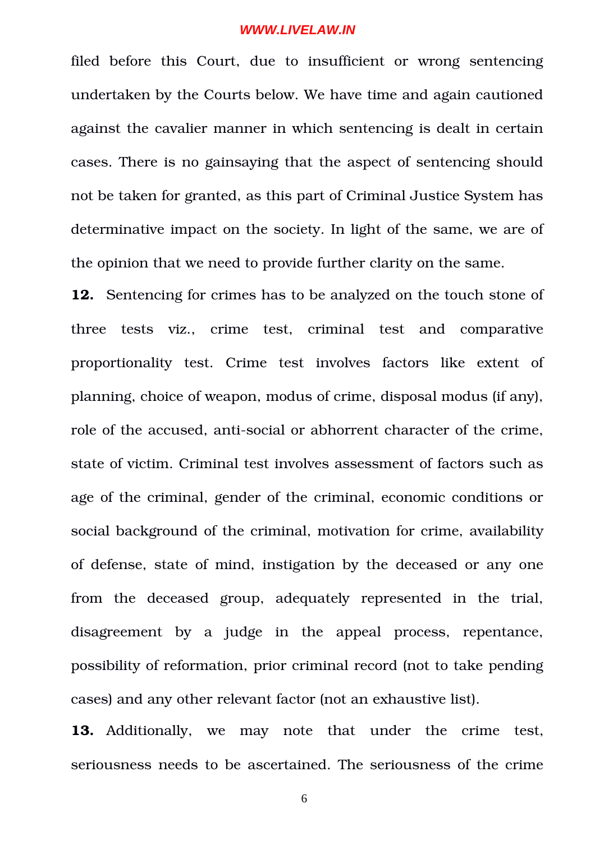filed before this Court, due to insufficient or wrong sentencing undertaken by the Courts below. We have time and again cautioned against the cavalier manner in which sentencing is dealt in certain cases. There is no gainsaying that the aspect of sentencing should not be taken for granted, as this part of Criminal Justice System has determinative impact on the society. In light of the same, we are of the opinion that we need to provide further clarity on the same.

**12.** Sentencing for crimes has to be analyzed on the touch stone of three tests viz., crime test, criminal test and comparative proportionality test. Crime test involves factors like extent of planning, choice of weapon, modus of crime, disposal modus (if any), role of the accused, anti-social or abhorrent character of the crime, state of victim. Criminal test involves assessment of factors such as age of the criminal, gender of the criminal, economic conditions or social background of the criminal, motivation for crime, availability of defense, state of mind, instigation by the deceased or any one from the deceased group, adequately represented in the trial, disagreement by a judge in the appeal process, repentance, possibility of reformation, prior criminal record (not to take pending cases) and any other relevant factor (not an exhaustive list).

13. Additionally, we may note that under the crime test, seriousness needs to be ascertained. The seriousness of the crime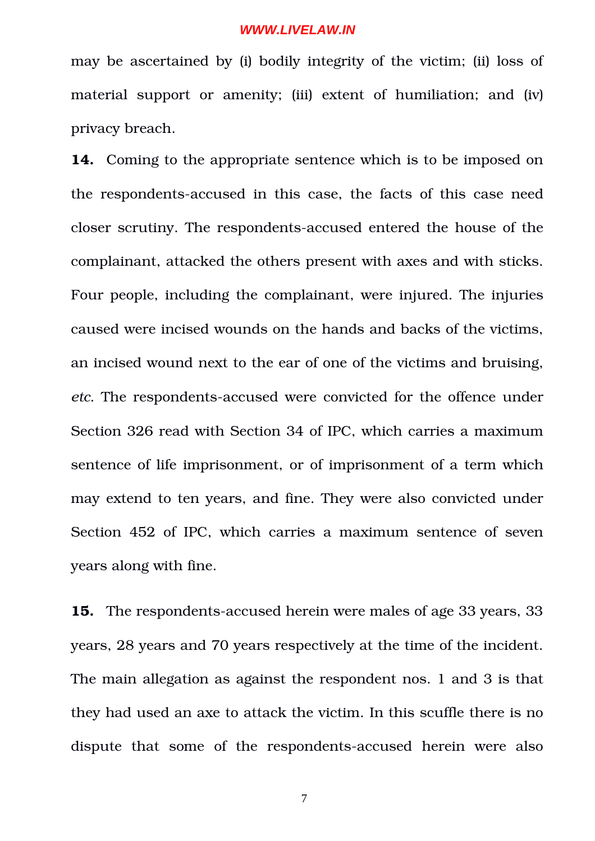may be ascertained by (i) bodily integrity of the victim; (ii) loss of material support or amenity; (iii) extent of humiliation; and (iv) privacy breach.

**14.** Coming to the appropriate sentence which is to be imposed on the respondents-accused in this case, the facts of this case need closer scrutiny. The respondents-accused entered the house of the complainant, attacked the others present with axes and with sticks. Four people, including the complainant, were injured. The injuries caused were incised wounds on the hands and backs of the victims, an incised wound next to the ear of one of the victims and bruising, *etc*. The respondents-accused were convicted for the offence under Section 326 read with Section 34 of IPC, which carries a maximum sentence of life imprisonment, or of imprisonment of a term which may extend to ten years, and fine. They were also convicted under Section 452 of IPC, which carries a maximum sentence of seven years along with fine.

**15.** The respondents-accused herein were males of age 33 years, 33 years, 28 years and 70 years respectively at the time of the incident. The main allegation as against the respondent nos. 1 and 3 is that they had used an axe to attack the victim. In this scuffle there is no dispute that some of the respondents-accused herein were also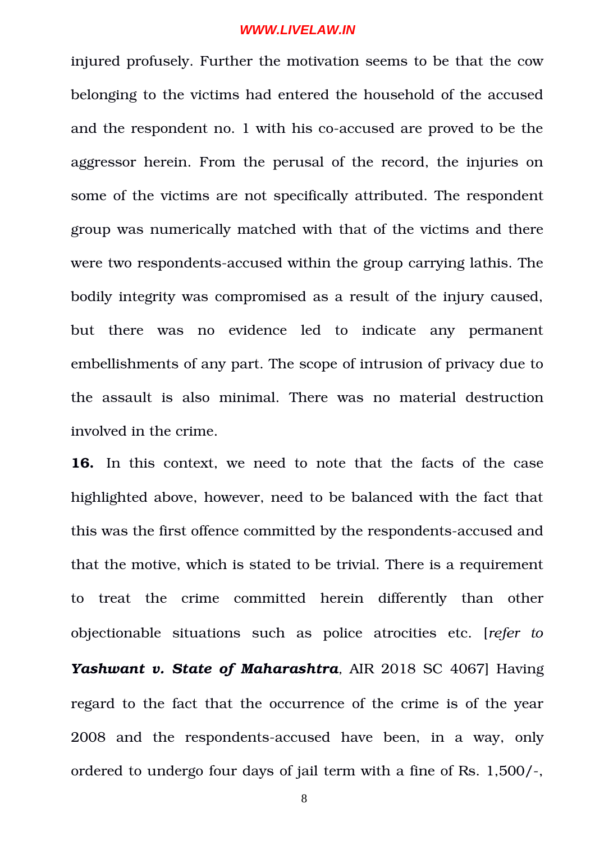injured profusely. Further the motivation seems to be that the cow belonging to the victims had entered the household of the accused and the respondent no. 1 with his co-accused are proved to be the aggressor herein. From the perusal of the record, the injuries on some of the victims are not specifically attributed. The respondent group was numerically matched with that of the victims and there were two respondents-accused within the group carrying lathis. The bodily integrity was compromised as a result of the injury caused, but there was no evidence led to indicate any permanent embellishments of any part. The scope of intrusion of privacy due to the assault is also minimal. There was no material destruction involved in the crime.

**16.** In this context, we need to note that the facts of the case highlighted above, however, need to be balanced with the fact that this was the first offence committed by the respondents-accused and that the motive, which is stated to be trivial. There is a requirement to treat the crime committed herein differently than other objectionable situations such as police atrocities etc. [*refer to* Yashwant v. State of Maharashtra, AIR 2018 SC 4067] Having regard to the fact that the occurrence of the crime is of the year 2008 and the respondents-accused have been, in a way, only ordered to undergo four days of jail term with a fine of Rs.  $1,500/$ -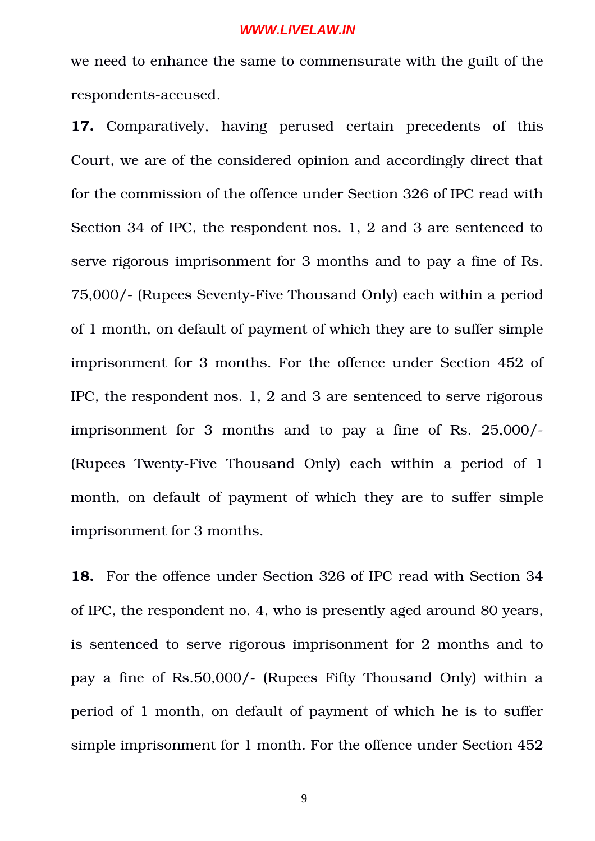we need to enhance the same to commensurate with the guilt of the respondents-accused.

**17.** Comparatively, having perused certain precedents of this Court, we are of the considered opinion and accordingly direct that for the commission of the offence under Section 326 of IPC read with Section 34 of IPC, the respondent nos. 1, 2 and 3 are sentenced to serve rigorous imprisonment for 3 months and to pay a fine of Rs. 75,000/- (Rupees Seventy-Five Thousand Only) each within a period of 1 month, on default of payment of which they are to suffer simple imprisonment for 3 months. For the offence under Section 452 of IPC, the respondent nos. 1, 2 and 3 are sentenced to serve rigorous imprisonment for  $3$  months and to pay a fine of Rs.  $25,000$ /-(Rupees Twenty-Five Thousand Only) each within a period of  $1$ month, on default of payment of which they are to suffer simple imprisonment for 3 months.

**18.** For the offence under Section 326 of IPC read with Section 34 of IPC, the respondent no. 4, who is presently aged around 80 years, is sentenced to serve rigorous imprisonment for 2 months and to pay a fine of Rs.50,000/- (Rupees Fifty Thousand Only) within a period of 1 month, on default of payment of which he is to suffer simple imprisonment for 1 month. For the offence under Section 452